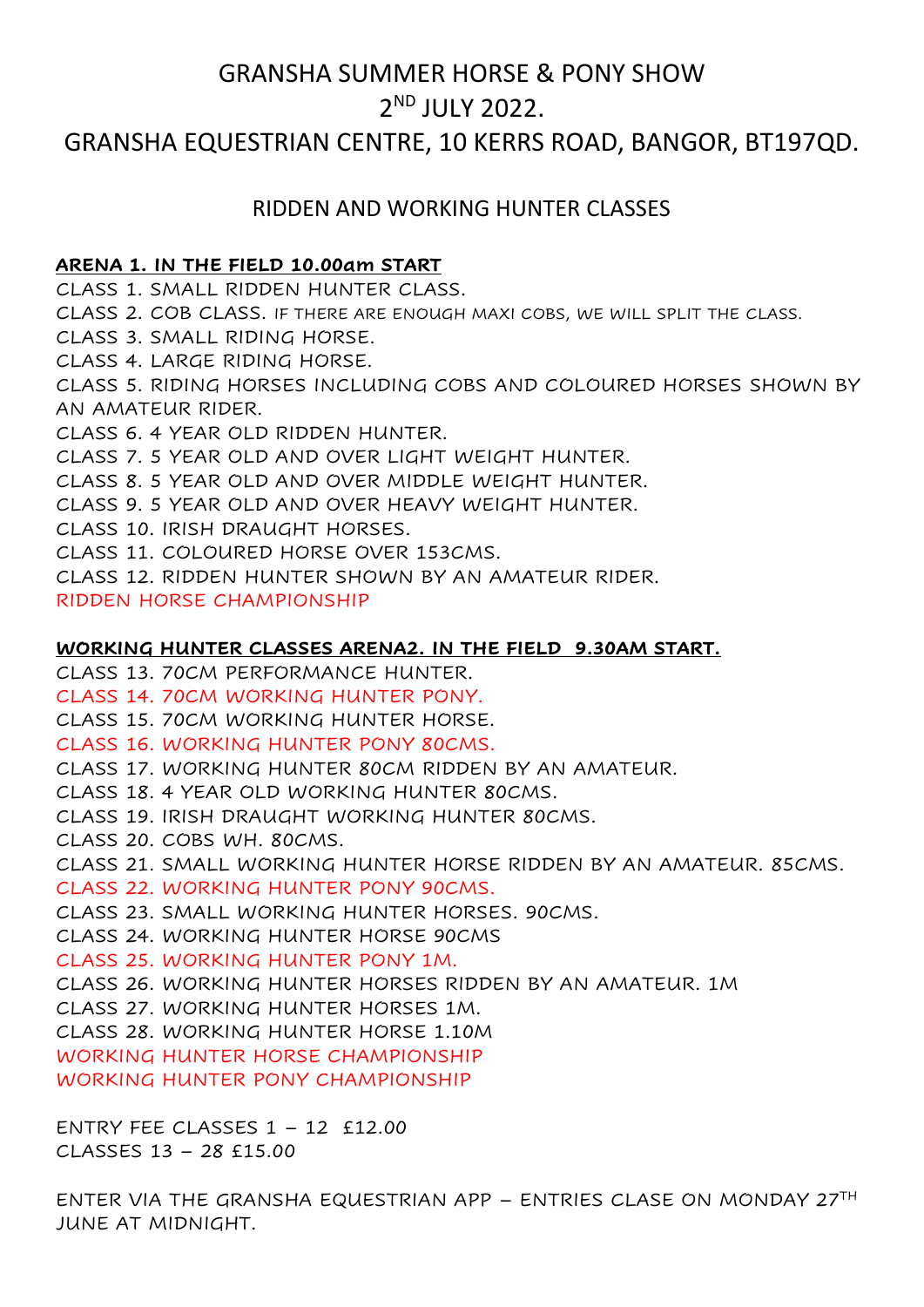# GRANSHA SUMMER HORSE & PONY SHOW 2 ND JULY 2022.

## GRANSHA EQUESTRIAN CENTRE, 10 KERRS ROAD, BANGOR, BT197QD.

## RIDDEN AND WORKING HUNTER CLASSES

### **ARENA 1. IN THE FIELD 10.00am START**

CLASS 1. SMALL RIDDEN HUNTER CLASS.

CLASS 2. COB CLASS. IF THERE ARE ENOUGH MAXI COBS, WE WILL SPLIT THE CLASS.

CLASS 3. SMALL RIDING HORSE.

CLASS 4. LARGE RIDING HORSE.

CLASS 5. RIDING HORSES INCLUDING COBS AND COLOURED HORSES SHOWN BY AN AMATEUR RIDER.

CLASS 6. 4 YEAR OLD RIDDEN HUNTER.

CLASS 7. 5 YEAR OLD AND OVER LIGHT WEIGHT HUNTER.

CLASS 8. 5 YEAR OLD AND OVER MIDDLE WEIGHT HUNTER.

CLASS 9. 5 YEAR OLD AND OVER HEAVY WEIGHT HUNTER.

CLASS 10. IRISH DRAUGHT HORSES.

CLASS 11. COLOURED HORSE OVER 153CMS.

CLASS 12. RIDDEN HUNTER SHOWN BY AN AMATEUR RIDER.

RIDDEN HORSE CHAMPIONSHIP

## **WORKING HUNTER CLASSES ARENA2. IN THE FIELD 9.30AM START.**

CLASS 13. 70CM PERFORMANCE HUNTER.

CLASS 14. 70CM WORKING HUNTER PONY.

CLASS 15. 70CM WORKING HUNTER HORSE.

CLASS 16. WORKING HUNTER PONY 80CMS.

CLASS 17. WORKING HUNTER 80CM RIDDEN BY AN AMATEUR.

CLASS 18. 4 YEAR OLD WORKING HUNTER 80CMS.

CLASS 19. IRISH DRAUGHT WORKING HUNTER 80CMS.

CLASS 20. COBS WH. 80CMS.

CLASS 21. SMALL WORKING HUNTER HORSE RIDDEN BY AN AMATEUR. 85CMS.

CLASS 22. WORKING HUNTER PONY 90CMS.

CLASS 23. SMALL WORKING HUNTER HORSES. 90CMS.

CLASS 24. WORKING HUNTER HORSE 90CMS

CLASS 25. WORKING HUNTER PONY 1M.

CLASS 26. WORKING HUNTER HORSES RIDDEN BY AN AMATEUR. 1M

CLASS 27. WORKING HUNTER HORSES 1M.

CLASS 28. WORKING HUNTER HORSE 1.10M

WORKING HUNTER HORSE CHAMPIONSHIP

WORKING HUNTER PONY CHAMPIONSHIP

ENTRY FEE CLASSES 1 – 12 £12.00 CLASSES 13 – 28 £15.00

ENTER VIA THE GRANSHA EQUESTRIAN APP – ENTRIES CLASE ON MONDAY 27TH JUNE AT MIDNIGHT.